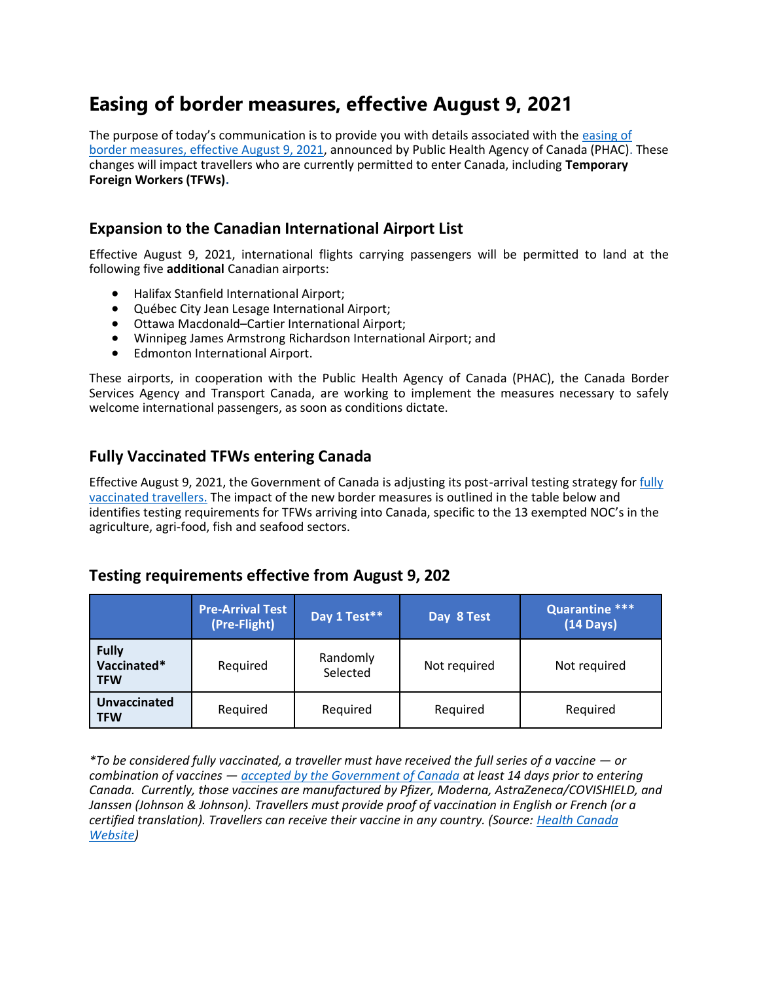## **Easing of border measures, effective August 9, 2021**

The purpose of today's communication is to provide you with details associated with the easing of [border measures, effective August 9, 2021,](https://can01.safelinks.protection.outlook.com/?url=https%3A%2F%2Fwww.canada.ca%2Fen%2Fpublic-health%2Fnews%2F2021%2F07%2Fgovernment-of-canada-announces-easing-of-border-measures-for-fully-vaccinated-travellers.html&data=04%7C01%7Cjaube%40kairoscanada.org%7Cb281b735b88247cf280d08d95b834606%7Ccf18b5a826784011931215f0f7157574%7C0%7C0%7C637641441634592520%7CUnknown%7CTWFpbGZsb3d8eyJWIjoiMC4wLjAwMDAiLCJQIjoiV2luMzIiLCJBTiI6Ik1haWwiLCJXVCI6Mn0%3D%7C1000&sdata=xbJ3ApNV%2Br5AMaGikKkJ6pLnCYoHtXJxAn1vXHL2bo4%3D&reserved=0) announced by Public Health Agency of Canada (PHAC). These changes will impact travellers who are currently permitted to enter Canada, including **Temporary Foreign Workers (TFWs).**

## **Expansion to the Canadian International Airport List**

Effective August 9, 2021, international flights carrying passengers will be permitted to land at the following five **additional** Canadian airports:

- Halifax Stanfield International Airport;
- Québec City Jean Lesage International Airport;
- Ottawa Macdonald–Cartier International Airport;
- Winnipeg James Armstrong Richardson International Airport; and
- Edmonton International Airport.

These airports, in cooperation with the Public Health Agency of Canada (PHAC), the Canada Border Services Agency and Transport Canada, are working to implement the measures necessary to safely welcome international passengers, as soon as conditions dictate.

## **Fully Vaccinated TFWs entering Canada**

Effective August 9, 2021, the Government of Canada is adjusting its post-arrival testing strategy for [fully](https://can01.safelinks.protection.outlook.com/?url=https%3A%2F%2Fwww.canada.ca%2Fen%2Fpublic-health%2Fnews%2F2021%2F07%2Feasing-border-measures-for-fully-vaccinated-travellers-entering-canada---permitting-discretionary-travel-for-citizens-and-permanent-residents-of-th.html&data=04%7C01%7Cjaube%40kairoscanada.org%7Cb281b735b88247cf280d08d95b834606%7Ccf18b5a826784011931215f0f7157574%7C0%7C0%7C637641441634602512%7CUnknown%7CTWFpbGZsb3d8eyJWIjoiMC4wLjAwMDAiLCJQIjoiV2luMzIiLCJBTiI6Ik1haWwiLCJXVCI6Mn0%3D%7C1000&sdata=0dsS2tU5hwa9Lp%2BmscSg02wJHSHYemiaSR8SFuDWMms%3D&reserved=0)  [vaccinated travellers.](https://can01.safelinks.protection.outlook.com/?url=https%3A%2F%2Fwww.canada.ca%2Fen%2Fpublic-health%2Fnews%2F2021%2F07%2Feasing-border-measures-for-fully-vaccinated-travellers-entering-canada---permitting-discretionary-travel-for-citizens-and-permanent-residents-of-th.html&data=04%7C01%7Cjaube%40kairoscanada.org%7Cb281b735b88247cf280d08d95b834606%7Ccf18b5a826784011931215f0f7157574%7C0%7C0%7C637641441634602512%7CUnknown%7CTWFpbGZsb3d8eyJWIjoiMC4wLjAwMDAiLCJQIjoiV2luMzIiLCJBTiI6Ik1haWwiLCJXVCI6Mn0%3D%7C1000&sdata=0dsS2tU5hwa9Lp%2BmscSg02wJHSHYemiaSR8SFuDWMms%3D&reserved=0) The impact of the new border measures is outlined in the table below and identifies testing requirements for TFWs arriving into Canada, specific to the 13 exempted NOC's in the agriculture, agri-food, fish and seafood sectors.

## **Testing requirements effective from August 9, 202**

|                                           | <b>Pre-Arrival Test</b><br>(Pre-Flight) | Day 1 Test**         | Day 8 Test   | Quarantine ***<br>$(14 \text{ Days})$ |
|-------------------------------------------|-----------------------------------------|----------------------|--------------|---------------------------------------|
| <b>Fully</b><br>Vaccinated*<br><b>TFW</b> | Required                                | Randomly<br>Selected | Not required | Not required                          |
| <b>Unvaccinated</b><br><b>TFW</b>         | Required                                | Required             | Required     | Required                              |

*\*To be considered fully vaccinated, a traveller must have received the full series of a vaccine — or combination of vaccines — [accepted by the Government of Canada](https://can01.safelinks.protection.outlook.com/?url=https%3A%2F%2Fwww.canada.ca%2Fen%2Fhealth-canada%2Fservices%2Fdrugs-health-products%2Fcovid19-industry%2Fdrugs-vaccines-treatments%2Fvaccines.html&data=04%7C01%7Cjaube%40kairoscanada.org%7Cb281b735b88247cf280d08d95b834606%7Ccf18b5a826784011931215f0f7157574%7C0%7C0%7C637641441634612509%7CUnknown%7CTWFpbGZsb3d8eyJWIjoiMC4wLjAwMDAiLCJQIjoiV2luMzIiLCJBTiI6Ik1haWwiLCJXVCI6Mn0%3D%7C1000&sdata=csnqfjDkgb%2BP9m2AzbABwTaJdWXakA3HXXBq5XYtLZ8%3D&reserved=0) at least 14 days prior to entering Canada. Currently, those vaccines are manufactured by Pfizer, Moderna, AstraZeneca/COVISHIELD, and Janssen (Johnson & Johnson). Travellers must provide proof of vaccination in English or French (or a certified translation). Travellers can receive their vaccine in any country. (Source: [Health Canada](https://can01.safelinks.protection.outlook.com/?url=https%3A%2F%2Fwww.canada.ca%2Fen%2Fhealth-canada%2Fservices%2Fdrugs-health-products%2Fcovid19-industry%2Fdrugs-vaccines-treatments%2Fvaccines.html&data=04%7C01%7Cjaube%40kairoscanada.org%7Cb281b735b88247cf280d08d95b834606%7Ccf18b5a826784011931215f0f7157574%7C0%7C0%7C637641441634612509%7CUnknown%7CTWFpbGZsb3d8eyJWIjoiMC4wLjAwMDAiLCJQIjoiV2luMzIiLCJBTiI6Ik1haWwiLCJXVCI6Mn0%3D%7C1000&sdata=csnqfjDkgb%2BP9m2AzbABwTaJdWXakA3HXXBq5XYtLZ8%3D&reserved=0)  [Website\)](https://can01.safelinks.protection.outlook.com/?url=https%3A%2F%2Fwww.canada.ca%2Fen%2Fhealth-canada%2Fservices%2Fdrugs-health-products%2Fcovid19-industry%2Fdrugs-vaccines-treatments%2Fvaccines.html&data=04%7C01%7Cjaube%40kairoscanada.org%7Cb281b735b88247cf280d08d95b834606%7Ccf18b5a826784011931215f0f7157574%7C0%7C0%7C637641441634612509%7CUnknown%7CTWFpbGZsb3d8eyJWIjoiMC4wLjAwMDAiLCJQIjoiV2luMzIiLCJBTiI6Ik1haWwiLCJXVCI6Mn0%3D%7C1000&sdata=csnqfjDkgb%2BP9m2AzbABwTaJdWXakA3HXXBq5XYtLZ8%3D&reserved=0)*